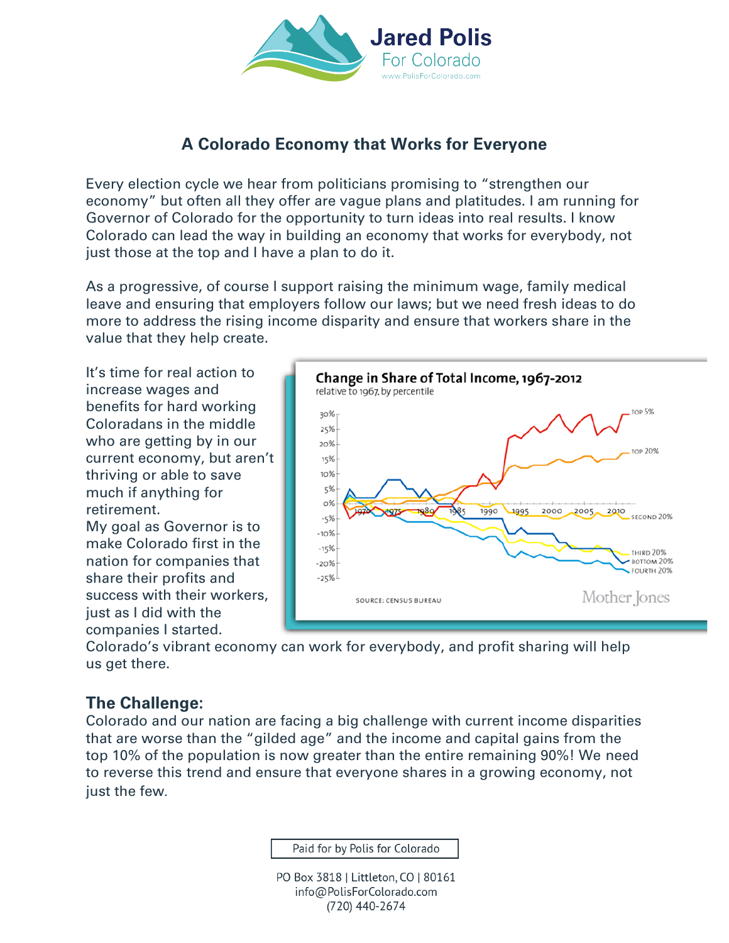

# **A Colorado Economy that Works for Everyone**

Every election cycle we hear from politicians promising to "strengthen our economy" but often all they offer are vague plans and platitudes. I am running for Governor of Colorado for the opportunity to turn ideas into real results. I know Colorado can lead the way in building an economy that works for everybody, not just those at the top and I have a plan to do it.

As a progressive, of course I support raising the minimum wage, family medical leave and ensuring that employers follow our laws; but we need fresh ideas to do more to address the rising income disparity and ensure that workers share in the value that they help create.

It's time for real action to increase wages and benefits for hard working Coloradans in the middle who are getting by in our current economy, but aren't thriving or able to save much if anything for retirement. My goal as Governor is to

make Colorado first in the nation for companies that share their profits and success with their workers, just as I did with the companies I started.



Colorado's vibrant economy can work for everybody, and profit sharing will help us get there.

## **The Challenge:**

Colorado and our nation are facing a big challenge with current income disparities that are worse than the "gilded age" and the income and capital gains from the top 10% of the population is now greater than the entire remaining 90%! We need to reverse this trend and ensure that everyone shares in a growing economy, not just the few.

Paid for by Polis for Colorado

PO Box 3818 | Littleton, CO | 80161 info@PolisForColorado.com (720) 440-2674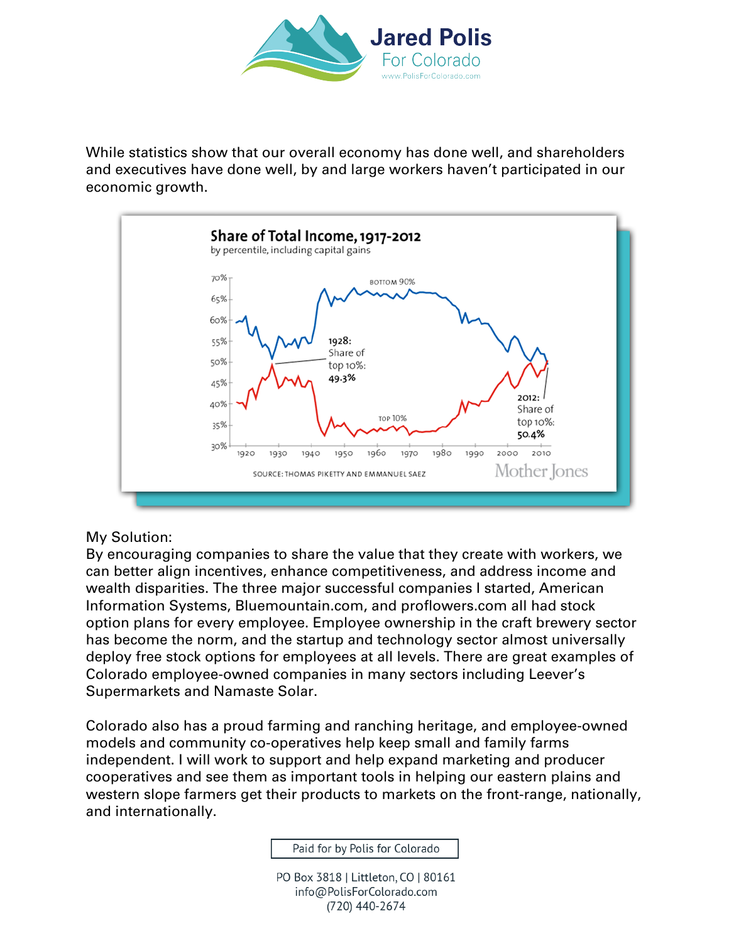

While statistics show that our overall economy has done well, and shareholders and executives have done well, by and large workers haven't participated in our economic growth.



#### My Solution:

By encouraging companies to share the value that they create with workers, we can better align incentives, enhance competitiveness, and address income and wealth disparities. The three major successful companies I started, American Information Systems, Bluemountain.com, and proflowers.com all had stock option plans for every employee. Employee ownership in the craft brewery sector has become the norm, and the startup and technology sector almost universally deploy free stock options for employees at all levels. There are great examples of Colorado employee-owned companies in many sectors including Leever's Supermarkets and Namaste Solar.

Colorado also has a proud farming and ranching heritage, and employee-owned models and community co-operatives help keep small and family farms independent. I will work to support and help expand marketing and producer cooperatives and see them as important tools in helping our eastern plains and western slope farmers get their products to markets on the front-range, nationally, and internationally.

Paid for by Polis for Colorado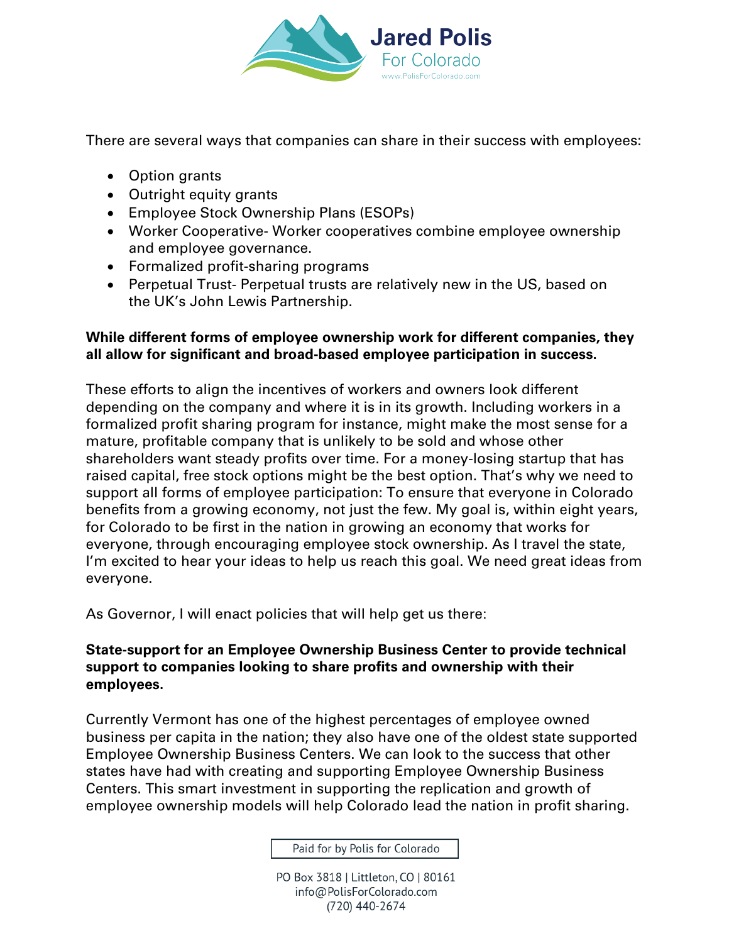

There are several ways that companies can share in their success with employees:

- Option grants
- Outright equity grants
- Employee Stock Ownership Plans (ESOPs)
- Worker Cooperative- Worker cooperatives combine employee ownership and employee governance.
- Formalized profit-sharing programs
- Perpetual Trust- Perpetual trusts are relatively new in the US, based on the UK's John Lewis Partnership.

#### **While different forms of employee ownership work for different companies, they all allow for significant and broad-based employee participation in success.**

These efforts to align the incentives of workers and owners look different depending on the company and where it is in its growth. Including workers in a formalized profit sharing program for instance, might make the most sense for a mature, profitable company that is unlikely to be sold and whose other shareholders want steady profits over time. For a money-losing startup that has raised capital, free stock options might be the best option. That's why we need to support all forms of employee participation: To ensure that everyone in Colorado benefits from a growing economy, not just the few. My goal is, within eight years, for Colorado to be first in the nation in growing an economy that works for everyone, through encouraging employee stock ownership. As I travel the state, I'm excited to hear your ideas to help us reach this goal. We need great ideas from everyone.

As Governor, I will enact policies that will help get us there:

#### **State-support for an Employee Ownership Business Center to provide technical support to companies looking to share profits and ownership with their employees.**

Currently Vermont has one of the highest percentages of employee owned business per capita in the nation; they also have one of the oldest state supported Employee Ownership Business Centers. We can look to the success that other states have had with creating and supporting Employee Ownership Business Centers. This smart investment in supporting the replication and growth of employee ownership models will help Colorado lead the nation in profit sharing.

Paid for by Polis for Colorado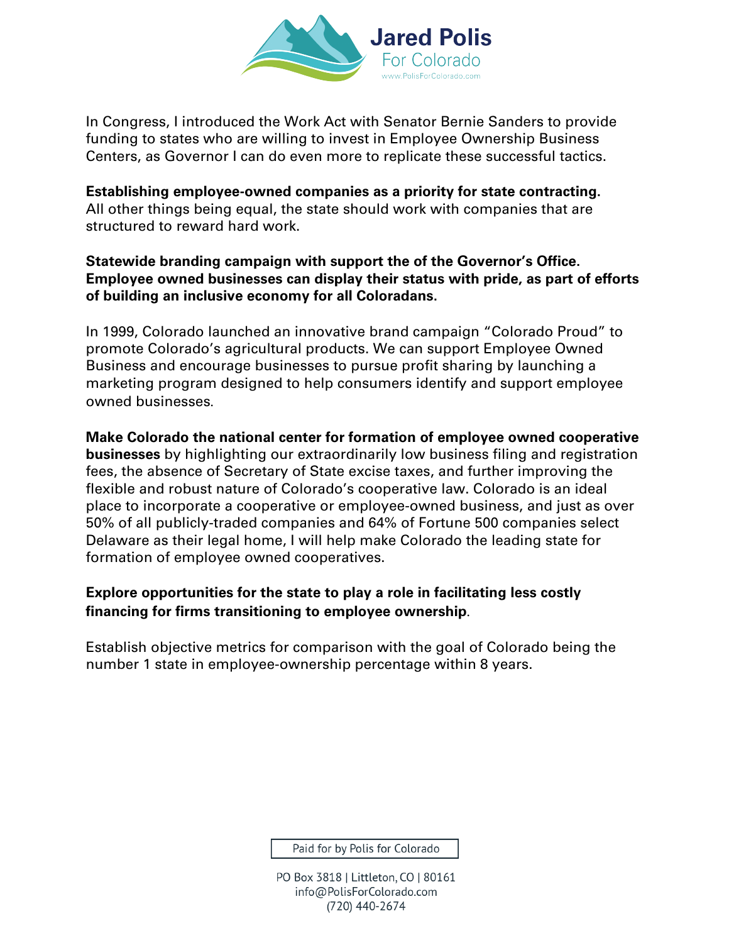

In Congress, I introduced the Work Act with Senator Bernie Sanders to provide funding to states who are willing to invest in Employee Ownership Business Centers, as Governor I can do even more to replicate these successful tactics.

**Establishing employee-owned companies as a priority for state contracting.**  All other things being equal, the state should work with companies that are structured to reward hard work.

#### **Statewide branding campaign with support the of the Governor's Office. Employee owned businesses can display their status with pride, as part of efforts of building an inclusive economy for all Coloradans.**

In 1999, Colorado launched an innovative brand campaign "Colorado Proud" to promote Colorado's agricultural products. We can support Employee Owned Business and encourage businesses to pursue profit sharing by launching a marketing program designed to help consumers identify and support employee owned businesses.

**Make Colorado the national center for formation of employee owned cooperative businesses** by highlighting our extraordinarily low business filing and registration fees, the absence of Secretary of State excise taxes, and further improving the flexible and robust nature of Colorado's cooperative law. Colorado is an ideal place to incorporate a cooperative or employee-owned business, and just as over 50% of all publicly-traded companies and 64% of Fortune 500 companies select Delaware as their legal home, I will help make Colorado the leading state for formation of employee owned cooperatives.

### **Explore opportunities for the state to play a role in facilitating less costly financing for firms transitioning to employee ownership**.

Establish objective metrics for comparison with the goal of Colorado being the number 1 state in employee-ownership percentage within 8 years.

Paid for by Polis for Colorado

PO Box 3818 | Littleton, CO | 80161 info@PolisForColorado.com (720) 440-2674